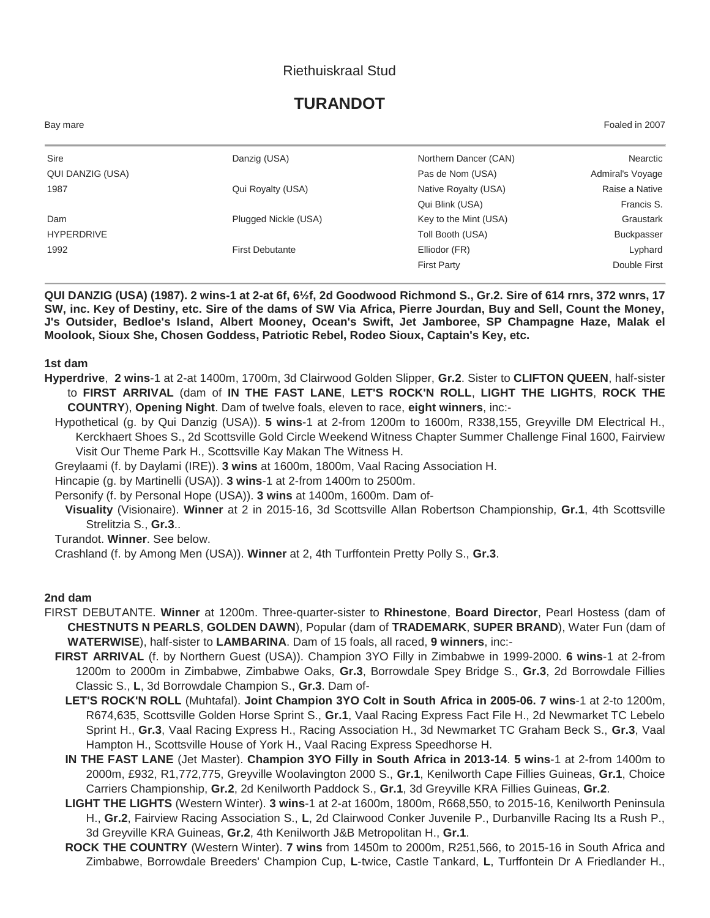### Riethuiskraal Stud

# **TURANDOT**

Bay mare Foaled in 2007

| Sire              | Danzig (USA)           | Northern Dancer (CAN) | Nearctic         |
|-------------------|------------------------|-----------------------|------------------|
| QUI DANZIG (USA)  |                        | Pas de Nom (USA)      | Admiral's Voyage |
| 1987              | Qui Royalty (USA)      | Native Royalty (USA)  | Raise a Native   |
|                   |                        | Qui Blink (USA)       | Francis S.       |
| Dam               | Plugged Nickle (USA)   | Key to the Mint (USA) | Graustark        |
| <b>HYPERDRIVE</b> |                        | Toll Booth (USA)      | Buckpasser       |
| 1992              | <b>First Debutante</b> | Elliodor (FR)         | Lyphard          |
|                   |                        | <b>First Party</b>    | Double First     |

**QUI DANZIG (USA) (1987). 2 wins-1 at 2-at 6f, 6½f, 2d Goodwood Richmond S., Gr.2. Sire of 614 rnrs, 372 wnrs, 17 SW, inc. Key of Destiny, etc. Sire of the dams of SW Via Africa, Pierre Jourdan, Buy and Sell, Count the Money, J's Outsider, Bedloe's Island, Albert Mooney, Ocean's Swift, Jet Jamboree, SP Champagne Haze, Malak el Moolook, Sioux She, Chosen Goddess, Patriotic Rebel, Rodeo Sioux, Captain's Key, etc.**

#### **1st dam**

- **Hyperdrive**, **2 wins**-1 at 2-at 1400m, 1700m, 3d Clairwood Golden Slipper, **Gr.2**. Sister to **CLIFTON QUEEN**, half-sister to **FIRST ARRIVAL** (dam of **IN THE FAST LANE**, **LET'S ROCK'N ROLL**, **LIGHT THE LIGHTS**, **ROCK THE COUNTRY**), **Opening Night**. Dam of twelve foals, eleven to race, **eight winners**, inc:-
	- Hypothetical (g. by Qui Danzig (USA)). **5 wins**-1 at 2-from 1200m to 1600m, R338,155, Greyville DM Electrical H., Kerckhaert Shoes S., 2d Scottsville Gold Circle Weekend Witness Chapter Summer Challenge Final 1600, Fairview Visit Our Theme Park H., Scottsville Kay Makan The Witness H.
	- Greylaami (f. by Daylami (IRE)). **3 wins** at 1600m, 1800m, Vaal Racing Association H.
	- Hincapie (g. by Martinelli (USA)). **3 wins**-1 at 2-from 1400m to 2500m.
	- Personify (f. by Personal Hope (USA)). **3 wins** at 1400m, 1600m. Dam of-
	- **Visuality** (Visionaire). **Winner** at 2 in 2015-16, 3d Scottsville Allan Robertson Championship, **Gr.1**, 4th Scottsville Strelitzia S., **Gr.3**..

Turandot. **Winner**. See below.

Crashland (f. by Among Men (USA)). **Winner** at 2, 4th Turffontein Pretty Polly S., **Gr.3**.

#### **2nd dam**

- FIRST DEBUTANTE. **Winner** at 1200m. Three-quarter-sister to **Rhinestone**, **Board Director**, Pearl Hostess (dam of **CHESTNUTS N PEARLS**, **GOLDEN DAWN**), Popular (dam of **TRADEMARK**, **SUPER BRAND**), Water Fun (dam of **WATERWISE**), half-sister to **LAMBARINA**. Dam of 15 foals, all raced, **9 winners**, inc:-
	- **FIRST ARRIVAL** (f. by Northern Guest (USA)). Champion 3YO Filly in Zimbabwe in 1999-2000. **6 wins**-1 at 2-from 1200m to 2000m in Zimbabwe, Zimbabwe Oaks, **Gr.3**, Borrowdale Spey Bridge S., **Gr.3**, 2d Borrowdale Fillies Classic S., **L**, 3d Borrowdale Champion S., **Gr.3**. Dam of-
		- **LET'S ROCK'N ROLL** (Muhtafal). **Joint Champion 3YO Colt in South Africa in 2005-06. 7 wins**-1 at 2-to 1200m, R674,635, Scottsville Golden Horse Sprint S., **Gr.1**, Vaal Racing Express Fact File H., 2d Newmarket TC Lebelo Sprint H., **Gr.3**, Vaal Racing Express H., Racing Association H., 3d Newmarket TC Graham Beck S., **Gr.3**, Vaal Hampton H., Scottsville House of York H., Vaal Racing Express Speedhorse H.
		- **IN THE FAST LANE** (Jet Master). **Champion 3YO Filly in South Africa in 2013-14**. **5 wins**-1 at 2-from 1400m to 2000m, £932, R1,772,775, Greyville Woolavington 2000 S., **Gr.1**, Kenilworth Cape Fillies Guineas, **Gr.1**, Choice Carriers Championship, **Gr.2**, 2d Kenilworth Paddock S., **Gr.1**, 3d Greyville KRA Fillies Guineas, **Gr.2**.
		- **LIGHT THE LIGHTS** (Western Winter). **3 wins**-1 at 2-at 1600m, 1800m, R668,550, to 2015-16, Kenilworth Peninsula H., **Gr.2**, Fairview Racing Association S., **L**, 2d Clairwood Conker Juvenile P., Durbanville Racing Its a Rush P., 3d Greyville KRA Guineas, **Gr.2**, 4th Kenilworth J&B Metropolitan H., **Gr.1**.
		- **ROCK THE COUNTRY** (Western Winter). **7 wins** from 1450m to 2000m, R251,566, to 2015-16 in South Africa and Zimbabwe, Borrowdale Breeders' Champion Cup, **L**-twice, Castle Tankard, **L**, Turffontein Dr A Friedlander H.,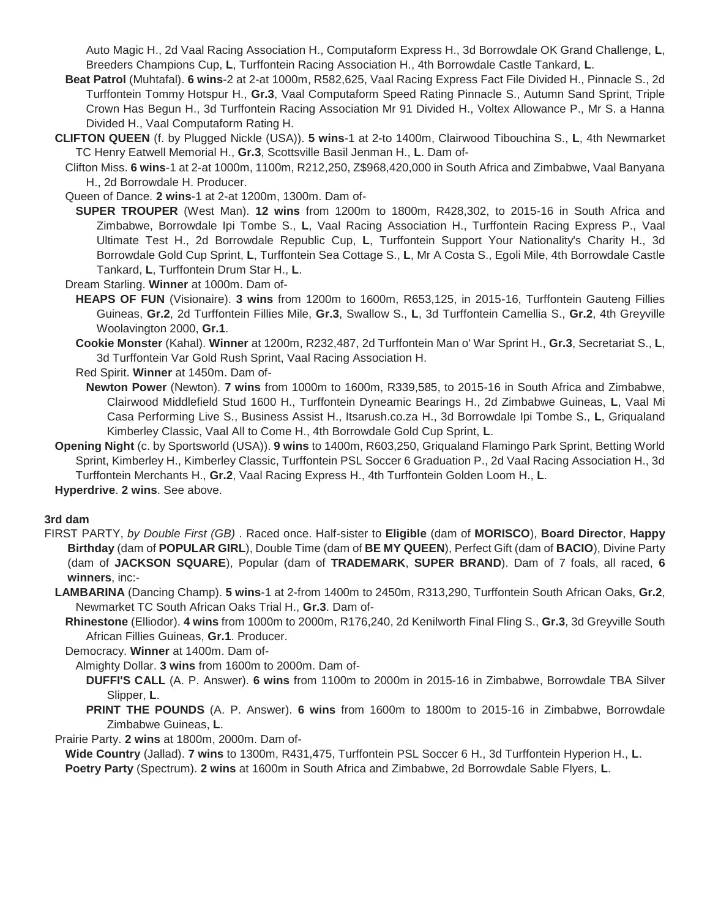Auto Magic H., 2d Vaal Racing Association H., Computaform Express H., 3d Borrowdale OK Grand Challenge, **L**, Breeders Champions Cup, **L**, Turffontein Racing Association H., 4th Borrowdale Castle Tankard, **L**.

- **Beat Patrol** (Muhtafal). **6 wins**-2 at 2-at 1000m, R582,625, Vaal Racing Express Fact File Divided H., Pinnacle S., 2d Turffontein Tommy Hotspur H., **Gr.3**, Vaal Computaform Speed Rating Pinnacle S., Autumn Sand Sprint, Triple Crown Has Begun H., 3d Turffontein Racing Association Mr 91 Divided H., Voltex Allowance P., Mr S. a Hanna Divided H., Vaal Computaform Rating H.
- **CLIFTON QUEEN** (f. by Plugged Nickle (USA)). **5 wins**-1 at 2-to 1400m, Clairwood Tibouchina S., **L**, 4th Newmarket TC Henry Eatwell Memorial H., **Gr.3**, Scottsville Basil Jenman H., **L**. Dam of-
	- Clifton Miss. **6 wins**-1 at 2-at 1000m, 1100m, R212,250, Z\$968,420,000 in South Africa and Zimbabwe, Vaal Banyana H., 2d Borrowdale H. Producer.
	- Queen of Dance. **2 wins**-1 at 2-at 1200m, 1300m. Dam of-
		- **SUPER TROUPER** (West Man). **12 wins** from 1200m to 1800m, R428,302, to 2015-16 in South Africa and Zimbabwe, Borrowdale Ipi Tombe S., **L**, Vaal Racing Association H., Turffontein Racing Express P., Vaal Ultimate Test H., 2d Borrowdale Republic Cup, **L**, Turffontein Support Your Nationality's Charity H., 3d Borrowdale Gold Cup Sprint, **L**, Turffontein Sea Cottage S., **L**, Mr A Costa S., Egoli Mile, 4th Borrowdale Castle Tankard, **L**, Turffontein Drum Star H., **L**.
	- Dream Starling. **Winner** at 1000m. Dam of-
		- **HEAPS OF FUN** (Visionaire). **3 wins** from 1200m to 1600m, R653,125, in 2015-16, Turffontein Gauteng Fillies Guineas, **Gr.2**, 2d Turffontein Fillies Mile, **Gr.3**, Swallow S., **L**, 3d Turffontein Camellia S., **Gr.2**, 4th Greyville Woolavington 2000, **Gr.1**.
		- **Cookie Monster** (Kahal). **Winner** at 1200m, R232,487, 2d Turffontein Man o' War Sprint H., **Gr.3**, Secretariat S., **L**, 3d Turffontein Var Gold Rush Sprint, Vaal Racing Association H.
		- Red Spirit. **Winner** at 1450m. Dam of-
		- **Newton Power** (Newton). **7 wins** from 1000m to 1600m, R339,585, to 2015-16 in South Africa and Zimbabwe, Clairwood Middlefield Stud 1600 H., Turffontein Dyneamic Bearings H., 2d Zimbabwe Guineas, **L**, Vaal Mi Casa Performing Live S., Business Assist H., Itsarush.co.za H., 3d Borrowdale Ipi Tombe S., **L**, Griqualand Kimberley Classic, Vaal All to Come H., 4th Borrowdale Gold Cup Sprint, **L**.
- **Opening Night** (c. by Sportsworld (USA)). **9 wins** to 1400m, R603,250, Griqualand Flamingo Park Sprint, Betting World Sprint, Kimberley H., Kimberley Classic, Turffontein PSL Soccer 6 Graduation P., 2d Vaal Racing Association H., 3d Turffontein Merchants H., **Gr.2**, Vaal Racing Express H., 4th Turffontein Golden Loom H., **L**.

**Hyperdrive**. **2 wins**. See above.

#### **3rd dam**

- FIRST PARTY, *by Double First (GB)* . Raced once. Half-sister to **Eligible** (dam of **MORISCO**), **Board Director**, **Happy Birthday** (dam of **POPULAR GIRL**), Double Time (dam of **BE MY QUEEN**), Perfect Gift (dam of **BACIO**), Divine Party (dam of **JACKSON SQUARE**), Popular (dam of **TRADEMARK**, **SUPER BRAND**). Dam of 7 foals, all raced, **6 winners**, inc:-
	- **LAMBARINA** (Dancing Champ). **5 wins**-1 at 2-from 1400m to 2450m, R313,290, Turffontein South African Oaks, **Gr.2**, Newmarket TC South African Oaks Trial H., **Gr.3**. Dam of-
		- **Rhinestone** (Elliodor). **4 wins** from 1000m to 2000m, R176,240, 2d Kenilworth Final Fling S., **Gr.3**, 3d Greyville South African Fillies Guineas, **Gr.1**. Producer.

Democracy. **Winner** at 1400m. Dam of-

Almighty Dollar. **3 wins** from 1600m to 2000m. Dam of-

- **DUFFI'S CALL** (A. P. Answer). **6 wins** from 1100m to 2000m in 2015-16 in Zimbabwe, Borrowdale TBA Silver Slipper, **L**.
- **PRINT THE POUNDS** (A. P. Answer). **6 wins** from 1600m to 1800m to 2015-16 in Zimbabwe, Borrowdale Zimbabwe Guineas, **L**.

Prairie Party. **2 wins** at 1800m, 2000m. Dam of-

**Wide Country** (Jallad). **7 wins** to 1300m, R431,475, Turffontein PSL Soccer 6 H., 3d Turffontein Hyperion H., **L**.

**Poetry Party** (Spectrum). **2 wins** at 1600m in South Africa and Zimbabwe, 2d Borrowdale Sable Flyers, **L**.